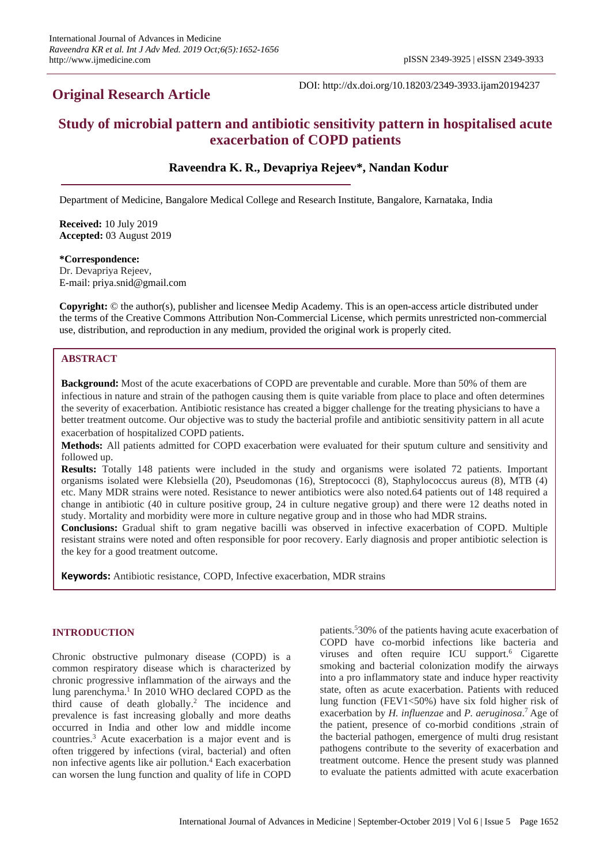# **Original Research Article**

DOI: http://dx.doi.org/10.18203/2349-3933.ijam20194237

# **Study of microbial pattern and antibiotic sensitivity pattern in hospitalised acute exacerbation of COPD patients**

## **Raveendra K. R., Devapriya Rejeev\*, Nandan Kodur**

Department of Medicine, Bangalore Medical College and Research Institute, Bangalore, Karnataka, India

**Received:** 10 July 2019 **Accepted:** 03 August 2019

**\*Correspondence:**

Dr. Devapriya Rejeev, E-mail: priya.snid@gmail.com

**Copyright:** © the author(s), publisher and licensee Medip Academy. This is an open-access article distributed under the terms of the Creative Commons Attribution Non-Commercial License, which permits unrestricted non-commercial use, distribution, and reproduction in any medium, provided the original work is properly cited.

## **ABSTRACT**

**Background:** Most of the acute exacerbations of COPD are preventable and curable. More than 50% of them are infectious in nature and strain of the pathogen causing them is quite variable from place to place and often determines the severity of exacerbation. Antibiotic resistance has created a bigger challenge for the treating physicians to have a better treatment outcome. Our objective was to study the bacterial profile and antibiotic sensitivity pattern in all acute exacerbation of hospitalized COPD patients.

**Methods:** All patients admitted for COPD exacerbation were evaluated for their sputum culture and sensitivity and followed up.

**Results:** Totally 148 patients were included in the study and organisms were isolated 72 patients. Important organisms isolated were Klebsiella (20), Pseudomonas (16), Streptococci (8), Staphylococcus aureus (8), MTB (4) etc. Many MDR strains were noted. Resistance to newer antibiotics were also noted.64 patients out of 148 required a change in antibiotic (40 in culture positive group, 24 in culture negative group) and there were 12 deaths noted in study. Mortality and morbidity were more in culture negative group and in those who had MDR strains.

**Conclusions:** Gradual shift to gram negative bacilli was observed in infective exacerbation of COPD. Multiple resistant strains were noted and often responsible for poor recovery. Early diagnosis and proper antibiotic selection is the key for a good treatment outcome.

**Keywords:** Antibiotic resistance, COPD, Infective exacerbation, MDR strains

## **INTRODUCTION**

Chronic obstructive pulmonary disease (COPD) is a common respiratory disease which is characterized by chronic progressive inflammation of the airways and the lung parenchyma. 1 In 2010 WHO declared COPD as the third cause of death globally. <sup>2</sup> The incidence and prevalence is fast increasing globally and more deaths occurred in India and other low and middle income countries. <sup>3</sup> Acute exacerbation is a major event and is often triggered by infections (viral, bacterial) and often non infective agents like air pollution. <sup>4</sup> Each exacerbation can worsen the lung function and quality of life in COPD

patients. <sup>5</sup>30% of the patients having acute exacerbation of COPD have co-morbid infections like bacteria and viruses and often require ICU support. <sup>6</sup> Cigarette smoking and bacterial colonization modify the airways into a pro inflammatory state and induce hyper reactivity state, often as acute exacerbation. Patients with reduced lung function (FEV1<50%) have six fold higher risk of exacerbation by *H. influenzae* and *P. aeruginosa*. <sup>7</sup> Age of the patient, presence of co-morbid conditions ,strain of the bacterial pathogen, emergence of multi drug resistant pathogens contribute to the severity of exacerbation and treatment outcome. Hence the present study was planned to evaluate the patients admitted with acute exacerbation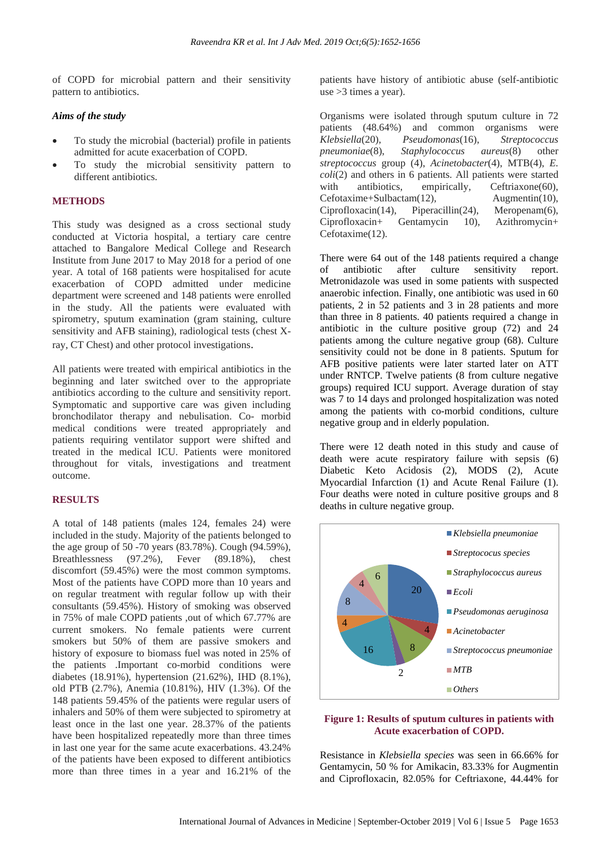of COPD for microbial pattern and their sensitivity pattern to antibiotics.

#### *Aims of the study*

- To study the microbial (bacterial) profile in patients admitted for acute exacerbation of COPD.
- To study the microbial sensitivity pattern to different antibiotics.

#### **METHODS**

This study was designed as a cross sectional study conducted at Victoria hospital, a tertiary care centre attached to Bangalore Medical College and Research Institute from June 2017 to May 2018 for a period of one year. A total of 168 patients were hospitalised for acute exacerbation of COPD admitted under medicine department were screened and 148 patients were enrolled in the study. All the patients were evaluated with spirometry, sputum examination (gram staining, culture sensitivity and AFB staining), radiological tests (chest Xray, CT Chest) and other protocol investigations.

All patients were treated with empirical antibiotics in the beginning and later switched over to the appropriate antibiotics according to the culture and sensitivity report. Symptomatic and supportive care was given including bronchodilator therapy and nebulisation. Co- morbid medical conditions were treated appropriately and patients requiring ventilator support were shifted and treated in the medical ICU. Patients were monitored throughout for vitals, investigations and treatment outcome.

## **RESULTS**

A total of 148 patients (males 124, females 24) were included in the study. Majority of the patients belonged to the age group of 50 -70 years (83.78%). Cough (94.59%), Breathlessness (97.2%), Fever (89.18%), chest discomfort (59.45%) were the most common symptoms. Most of the patients have COPD more than 10 years and on regular treatment with regular follow up with their consultants (59.45%). History of smoking was observed in 75% of male COPD patients ,out of which 67.77% are current smokers. No female patients were current smokers but 50% of them are passive smokers and history of exposure to biomass fuel was noted in 25% of the patients .Important co-morbid conditions were diabetes (18.91%), hypertension (21.62%), IHD (8.1%), old PTB (2.7%), Anemia (10.81%), HIV (1.3%). Of the 148 patients 59.45% of the patients were regular users of inhalers and 50% of them were subjected to spirometry at least once in the last one year. 28.37% of the patients have been hospitalized repeatedly more than three times in last one year for the same acute exacerbations. 43.24% of the patients have been exposed to different antibiotics more than three times in a year and 16.21% of the patients have history of antibiotic abuse (self-antibiotic use >3 times a year).

Organisms were isolated through sputum culture in 72 patients (48.64%) and common organisms were *Klebsiella*(20), *Pseudomonas*(16), *Streptococcus pneumoniae*(8), *Staphylococcus aureus*(8) other *streptococcus* group (4), *Acinetobacter*(4), MTB(4), *E. coli*(2) and others in 6 patients. All patients were started with antibiotics, empirically, Ceftriaxone(60), Cefotaxime+Sulbactam(12), Augmentin(10), Ciprofloxacin(14), Piperacillin(24), Meropenam(6), Ciprofloxacin+ Gentamycin 10), Azithromycin+ Cefotaxime(12).

There were 64 out of the 148 patients required a change of antibiotic after culture sensitivity report. Metronidazole was used in some patients with suspected anaerobic infection. Finally, one antibiotic was used in 60 patients, 2 in 52 patients and 3 in 28 patients and more than three in 8 patients. 40 patients required a change in antibiotic in the culture positive group (72) and 24 patients among the culture negative group (68). Culture sensitivity could not be done in 8 patients. Sputum for AFB positive patients were later started later on ATT under RNTCP. Twelve patients (8 from culture negative groups) required ICU support. Average duration of stay was 7 to 14 days and prolonged hospitalization was noted among the patients with co-morbid conditions, culture negative group and in elderly population.

There were 12 death noted in this study and cause of death were acute respiratory failure with sepsis (6) Diabetic Keto Acidosis (2), MODS (2), Acute Myocardial Infarction (1) and Acute Renal Failure (1). Four deaths were noted in culture positive groups and 8 deaths in culture negative group.



### **Figure 1: Results of sputum cultures in patients with Acute exacerbation of COPD.**

Resistance in *Klebsiella species* was seen in 66.66% for Gentamycin, 50 % for Amikacin, 83.33% for Augmentin and Ciprofloxacin, 82.05% for Ceftriaxone, 44.44% for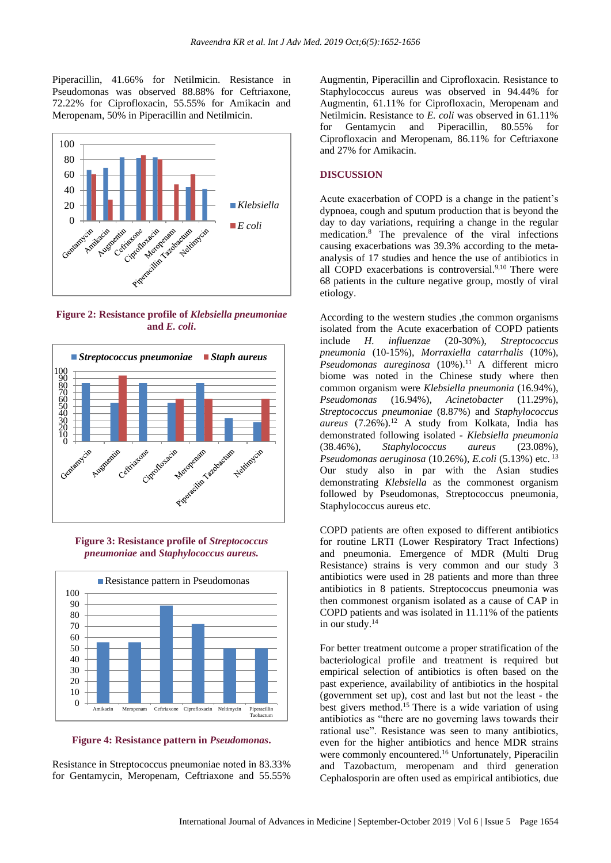Piperacillin, 41.66% for Netilmicin. Resistance in Pseudomonas was observed 88.88% for Ceftriaxone, 72.22% for Ciprofloxacin, 55.55% for Amikacin and Meropenam, 50% in Piperacillin and Netilmicin.



**Figure 2: Resistance profile of** *Klebsiella pneumoniae* **and** *E. coli***.**



**Figure 3: Resistance profile of** *Streptococcus pneumoniae* **and** *Staphylococcus aureus.*



**Figure 4: Resistance pattern in** *Pseudomonas***.**

Resistance in Streptococcus pneumoniae noted in 83.33% for Gentamycin, Meropenam, Ceftriaxone and 55.55% Augmentin, Piperacillin and Ciprofloxacin. Resistance to Staphylococcus aureus was observed in 94.44% for Augmentin, 61.11% for Ciprofloxacin, Meropenam and Netilmicin. Resistance to *E. coli* was observed in 61.11% for Gentamycin and Piperacillin, 80.55% for Ciprofloxacin and Meropenam, 86.11% for Ceftriaxone and 27% for Amikacin.

## **DISCUSSION**

Acute exacerbation of COPD is a change in the patient's dypnoea, cough and sputum production that is beyond the day to day variations, requiring a change in the regular medication. <sup>8</sup> The prevalence of the viral infections causing exacerbations was 39.3% according to the metaanalysis of 17 studies and hence the use of antibiotics in all COPD exacerbations is controversial.<sup>9,10</sup> There were 68 patients in the culture negative group, mostly of viral etiology.

According to the western studies ,the common organisms isolated from the Acute exacerbation of COPD patients include *H. influenzae* (20-30%), *Streptococcus pneumonia* (10-15%), *Morraxiella catarrhalis* (10%), *Pseudomonas aureginosa* (10%). <sup>11</sup> A different micro biome was noted in the Chinese study where then common organism were *Klebsiella pneumonia* (16.94%), *Pseudomonas* (16.94%), *Acinetobacter* (11.29%), *Streptococcus pneumoniae* (8.87%) and *Staphylococcus aureus* (7.26%). <sup>12</sup> A study from Kolkata, India has demonstrated following isolated - *Klebsiella pneumonia* (38.46%), *Staphylococcus aureus* (23.08%), *Pseudomonas aeruginosa* (10.26%), *E.coli* (5.13%) etc. <sup>13</sup> Our study also in par with the Asian studies demonstrating *Klebsiella* as the commonest organism followed by Pseudomonas, Streptococcus pneumonia, Staphylococcus aureus etc.

COPD patients are often exposed to different antibiotics for routine LRTI (Lower Respiratory Tract Infections) and pneumonia. Emergence of MDR (Multi Drug Resistance) strains is very common and our study 3 antibiotics were used in 28 patients and more than three antibiotics in 8 patients. Streptococcus pneumonia was then commonest organism isolated as a cause of CAP in COPD patients and was isolated in 11.11% of the patients in our study. $14$ 

For better treatment outcome a proper stratification of the bacteriological profile and treatment is required but empirical selection of antibiotics is often based on the past experience, availability of antibiotics in the hospital (government set up), cost and last but not the least - the best givers method.<sup>15</sup> There is a wide variation of using antibiotics as "there are no governing laws towards their rational use". Resistance was seen to many antibiotics, even for the higher antibiotics and hence MDR strains were commonly encountered.<sup>16</sup> Unfortunately, Piperacilin and Tazobactum, meropenam and third generation Cephalosporin are often used as empirical antibiotics, due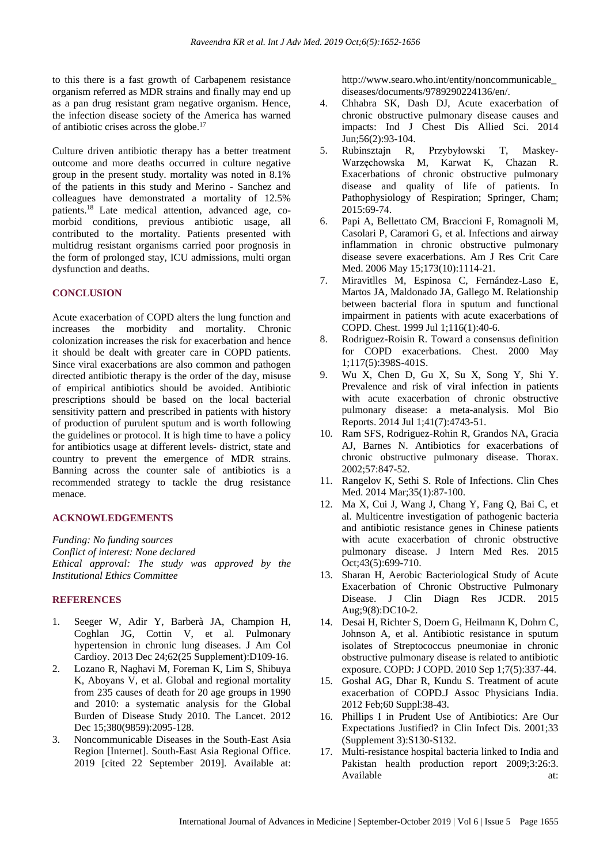to this there is a fast growth of Carbapenem resistance organism referred as MDR strains and finally may end up as a pan drug resistant gram negative organism. Hence, the infection disease society of the America has warned of antibiotic crises across the globe. 17

Culture driven antibiotic therapy has a better treatment outcome and more deaths occurred in culture negative group in the present study. mortality was noted in 8.1% of the patients in this study and Merino - Sanchez and colleagues have demonstrated a mortality of 12.5% patients. <sup>18</sup> Late medical attention, advanced age, comorbid conditions, previous antibiotic usage, all contributed to the mortality. Patients presented with multidrug resistant organisms carried poor prognosis in the form of prolonged stay, ICU admissions, multi organ dysfunction and deaths.

#### **CONCLUSION**

Acute exacerbation of COPD alters the lung function and increases the morbidity and mortality. Chronic colonization increases the risk for exacerbation and hence it should be dealt with greater care in COPD patients. Since viral exacerbations are also common and pathogen directed antibiotic therapy is the order of the day, misuse of empirical antibiotics should be avoided. Antibiotic prescriptions should be based on the local bacterial sensitivity pattern and prescribed in patients with history of production of purulent sputum and is worth following the guidelines or protocol. It is high time to have a policy for antibiotics usage at different levels- district, state and country to prevent the emergence of MDR strains. Banning across the counter sale of antibiotics is a recommended strategy to tackle the drug resistance menace.

#### **ACKNOWLEDGEMENTS**

*Funding: No funding sources Conflict of interest: None declared Ethical approval: The study was approved by the Institutional Ethics Committee*

### **REFERENCES**

- 1. Seeger W, Adir Y, Barberà JA, Champion H, Coghlan JG, Cottin V, et al. Pulmonary hypertension in chronic lung diseases. J Am Col Cardioy. 2013 Dec 24;62(25 Supplement):D109-16.
- 2. Lozano R, Naghavi M, Foreman K, Lim S, Shibuya K, Aboyans V, et al. Global and regional mortality from 235 causes of death for 20 age groups in 1990 and 2010: a systematic analysis for the Global Burden of Disease Study 2010. The Lancet. 2012 Dec 15:380(9859):2095-128.
- 3. Noncommunicable Diseases in the South-East Asia Region [Internet]. South-East Asia Regional Office. 2019 [cited 22 September 2019]. Available at:

http://www.searo.who.int/entity/noncommunicable\_ diseases/documents/9789290224136/en/.

- 4. Chhabra SK, Dash DJ, Acute exacerbation of chronic obstructive pulmonary disease causes and impacts: Ind J Chest Dis Allied Sci. 2014 Jun;56(2):93-104.
- 5. Rubinsztajn R, Przybyłowski T, Maskey-Warzęchowska M, Karwat K, Chazan R. Exacerbations of chronic obstructive pulmonary disease and quality of life of patients. In Pathophysiology of Respiration; Springer, Cham; 2015:69-74.
- 6. Papi A, Bellettato CM, Braccioni F, Romagnoli M, Casolari P, Caramori G, et al. Infections and airway inflammation in chronic obstructive pulmonary disease severe exacerbations. Am J Res Crit Care Med. 2006 May 15;173(10):1114-21.
- 7. Miravitlles M, Espinosa C, Fernández-Laso E, Martos JA, Maldonado JA, Gallego M. Relationship between bacterial flora in sputum and functional impairment in patients with acute exacerbations of COPD. Chest. 1999 Jul 1;116(1):40-6.
- 8. Rodriguez-Roisin R. Toward a consensus definition for COPD exacerbations. Chest. 2000 May 1;117(5):398S-401S.
- 9. Wu X, Chen D, Gu X, Su X, Song Y, Shi Y. Prevalence and risk of viral infection in patients with acute exacerbation of chronic obstructive pulmonary disease: a meta-analysis. Mol Bio Reports. 2014 Jul 1;41(7):4743-51.
- 10. Ram SFS, Rodriguez-Rohin R, Grandos NA, Gracia AJ, Barnes N. Antibiotics for exacerbations of chronic obstructive pulmonary disease. Thorax. 2002;57:847-52.
- 11. Rangelov K, Sethi S. Role of Infections. Clin Ches Med. 2014 Mar;35(1):87-100.
- 12. Ma X, Cui J, Wang J, Chang Y, Fang Q, Bai C, et al. Multicentre investigation of pathogenic bacteria and antibiotic resistance genes in Chinese patients with acute exacerbation of chronic obstructive pulmonary disease. J Intern Med Res. 2015 Oct;43(5):699-710.
- 13. Sharan H, Aerobic Bacteriological Study of Acute Exacerbation of Chronic Obstructive Pulmonary Disease. J Clin Diagn Res JCDR. 2015 Aug;9(8):DC10-2.
- 14. Desai H, Richter S, Doern G, Heilmann K, Dohrn C, Johnson A, et al. Antibiotic resistance in sputum isolates of Streptococcus pneumoniae in chronic obstructive pulmonary disease is related to antibiotic exposure. COPD: J COPD. 2010 Sep 1;7(5):337-44.
- 15. Goshal AG, Dhar R, Kundu S. Treatment of acute exacerbation of COPD.J Assoc Physicians India. 2012 Feb;60 Suppl:38-43.
- 16. Phillips I in Prudent Use of Antibiotics: Are Our Expectations Justified? in Clin Infect Dis. 2001;33 (Supplement 3):S130-S132.
- 17. Multi-resistance hospital bacteria linked to India and Pakistan health production report 2009;3:26:3. Available at: at: